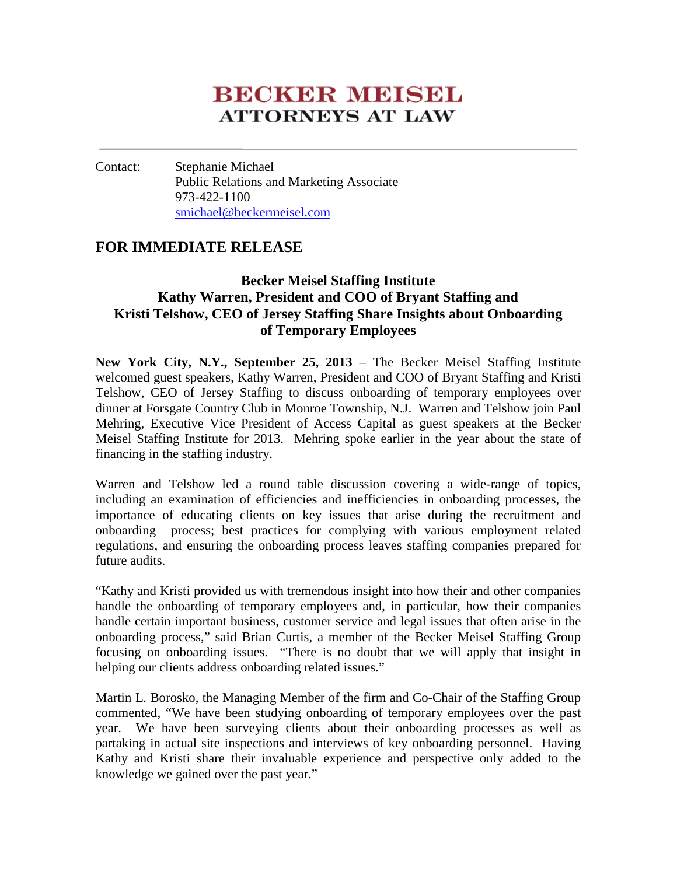# **BECKER MEESEL ATTORNEYS AT LAW**

#### Contact: Stephanie Michael Public Relations and Marketing Associate 973-422-1100 [smichael@beckermeisel.com](mailto:smichael@beckermeisel.com)

### **FOR IMMEDIATE RELEASE**

## **Becker Meisel Staffing Institute Kathy Warren, President and COO of Bryant Staffing and Kristi Telshow, CEO of Jersey Staffing Share Insights about Onboarding of Temporary Employees**

**New York City, N.Y., September 25, 2013** – The Becker Meisel Staffing Institute welcomed guest speakers, Kathy Warren, President and COO of Bryant Staffing and Kristi Telshow, CEO of Jersey Staffing to discuss onboarding of temporary employees over dinner at Forsgate Country Club in Monroe Township, N.J. Warren and Telshow join Paul Mehring, Executive Vice President of Access Capital as guest speakers at the Becker Meisel Staffing Institute for 2013. Mehring spoke earlier in the year about the state of financing in the staffing industry.

Warren and Telshow led a round table discussion covering a wide-range of topics, including an examination of efficiencies and inefficiencies in onboarding processes, the importance of educating clients on key issues that arise during the recruitment and onboarding process; best practices for complying with various employment related regulations, and ensuring the onboarding process leaves staffing companies prepared for future audits.

"Kathy and Kristi provided us with tremendous insight into how their and other companies handle the onboarding of temporary employees and, in particular, how their companies handle certain important business, customer service and legal issues that often arise in the onboarding process," said Brian Curtis, a member of the Becker Meisel Staffing Group focusing on onboarding issues. "There is no doubt that we will apply that insight in helping our clients address onboarding related issues."

Martin L. Borosko, the Managing Member of the firm and Co-Chair of the Staffing Group commented, "We have been studying onboarding of temporary employees over the past year. We have been surveying clients about their onboarding processes as well as partaking in actual site inspections and interviews of key onboarding personnel. Having Kathy and Kristi share their invaluable experience and perspective only added to the knowledge we gained over the past year."